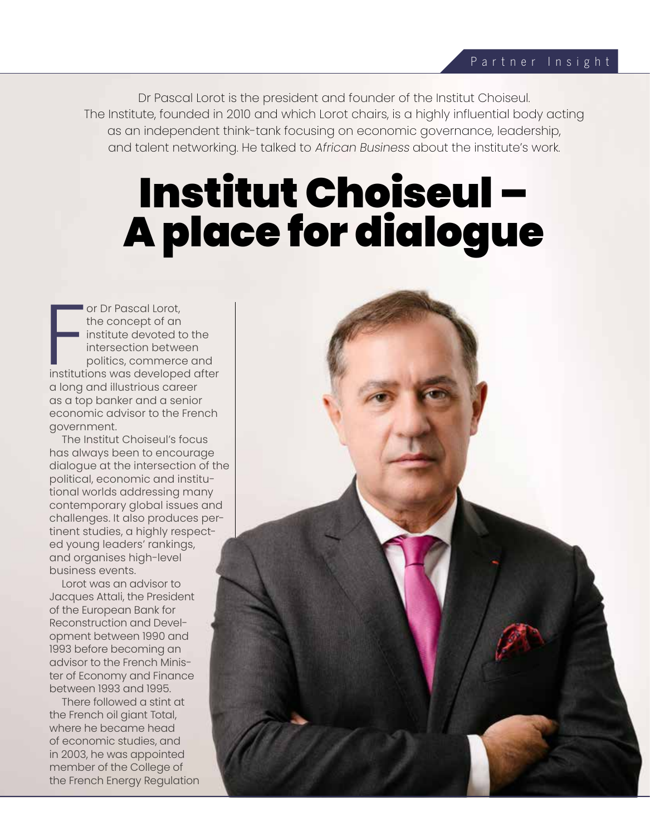Dr Pascal Lorot is the president and founder of the Institut Choiseul. The Institute, founded in 2010 and which Lorot chairs, is a highly influential body acting as an independent think-tank focusing on economic governance, leadership, and talent networking. He talked to African Business about the institute's work.

# Institut Choiseul – A place for dialogue

**Formal**<br>institution or Dr Pascal Lorot, the concept of an institute devoted to the intersection between politics, commerce and institutions was developed after a long and illustrious career as a top banker and a senior economic advisor to the French government.

The Institut Choiseul's focus has always been to encourage dialogue at the intersection of the political, economic and institutional worlds addressing many contemporary global issues and challenges. It also produces pertinent studies, a highly respected young leaders' rankings, and organises high-level business events.

Lorot was an advisor to Jacques Attali, the President of the European Bank for Reconstruction and Development between 1990 and 1993 before becoming an advisor to the French Minister of Economy and Finance between 1993 and 1995.

There followed a stint at the French oil giant Total, where he became head of economic studies, and in 2003, he was appointed member of the College of the French Energy Regulation

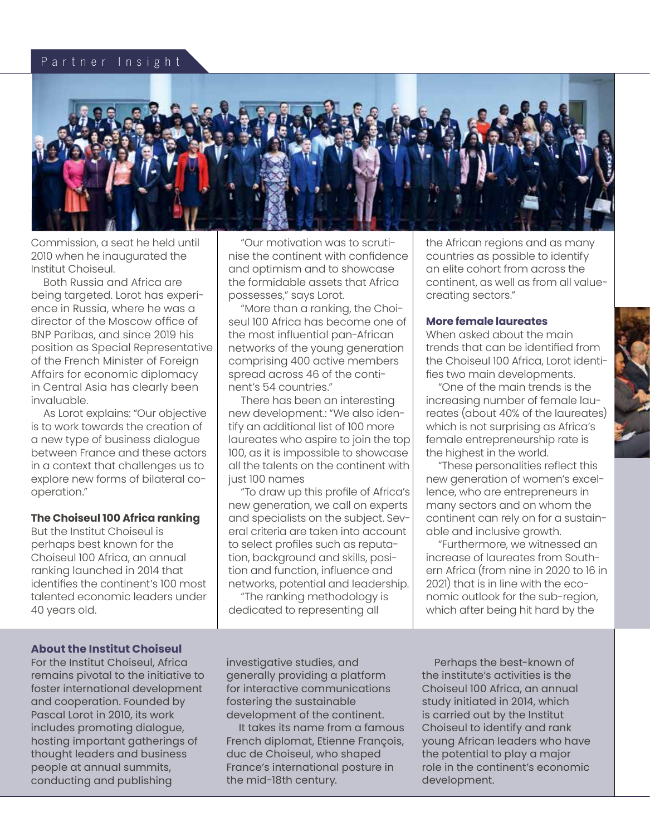# Partner Insight



Commission, a seat he held until 2010 when he inaugurated the Institut Choiseul.

Both Russia and Africa are being targeted. Lorot has experience in Russia, where he was a director of the Moscow office of BNP Paribas, and since 2019 his position as Special Representative of the French Minister of Foreign Affairs for economic diplomacy in Central Asia has clearly been invaluable.

As Lorot explains: "Our objective is to work towards the creation of a new type of business dialogue between France and these actors in a context that challenges us to explore new forms of bilateral cooperation."

#### **The Choiseul 100 Africa ranking**

But the Institut Choiseul is perhaps best known for the Choiseul 100 Africa, an annual ranking launched in 2014 that identifies the continent's 100 most talented economic leaders under 40 years old.

#### **About the Institut Choiseul**

For the Institut Choiseul, Africa remains pivotal to the initiative to foster international development and cooperation. Founded by Pascal Lorot in 2010, its work includes promoting dialogue, hosting important gatherings of thought leaders and business people at annual summits, conducting and publishing

"Our motivation was to scrutinise the continent with confidence and optimism and to showcase the formidable assets that Africa possesses," says Lorot.

"More than a ranking, the Choiseul 100 Africa has become one of the most influential pan-African networks of the young generation comprising 400 active members spread across 46 of the continent's 54 countries."

There has been an interesting new development.: "We also identify an additional list of 100 more laureates who aspire to join the top 100, as it is impossible to showcase all the talents on the continent with just 100 names

"To draw up this profile of Africa's new generation, we call on experts and specialists on the subject. Several criteria are taken into account to select profiles such as reputation, background and skills, position and function, influence and networks, potential and leadership.

"The ranking methodology is dedicated to representing all

the African regions and as many countries as possible to identify an elite cohort from across the continent, as well as from all valuecreating sectors."

#### **More female laureates**

When asked about the main trends that can be identified from the Choiseul 100 Africa, Lorot identifies two main developments.

"One of the main trends is the increasing number of female laureates (about 40% of the laureates) which is not surprising as Africa's female entrepreneurship rate is the highest in the world.

"These personalities reflect this new generation of women's excellence, who are entrepreneurs in many sectors and on whom the continent can rely on for a sustainable and inclusive growth.

"Furthermore, we witnessed an increase of laureates from Southern Africa (from nine in 2020 to 16 in 2021) that is in line with the economic outlook for the sub-region, which after being hit hard by the

investigative studies, and generally providing a platform for interactive communications fostering the sustainable development of the continent.

It takes its name from a famous French diplomat, Etienne François, duc de Choiseul, who shaped France's international posture in the mid-18th century.

Perhaps the best-known of the institute's activities is the Choiseul 100 Africa, an annual study initiated in 2014, which is carried out by the Institut Choiseul to identify and rank young African leaders who have the potential to play a major role in the continent's economic development.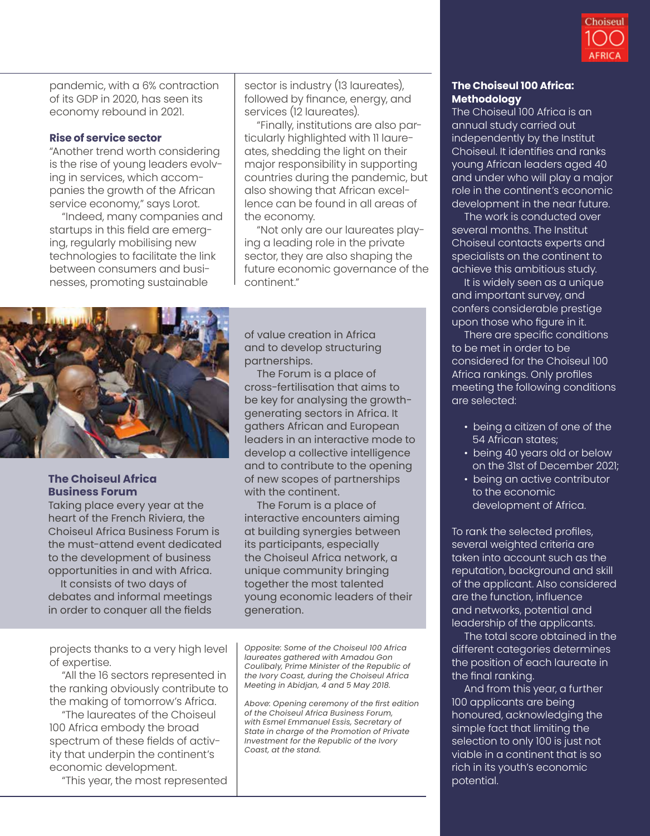

pandemic, with a 6% contraction of its GDP in 2020, has seen its economy rebound in 2021.

### **Rise of service sector**

"Another trend worth considering is the rise of young leaders evolving in services, which accompanies the growth of the African service economy," says Lorot.

"Indeed, many companies and startups in this field are emerging, regularly mobilising new technologies to facilitate the link between consumers and businesses, promoting sustainable

sector is industry (13 laureates), followed by finance, energy, and services (12 laureates).

"Finally, institutions are also particularly highlighted with 11 laureates, shedding the light on their major responsibility in supporting countries during the pandemic, but also showing that African excellence can be found in all areas of the economy.

"Not only are our laureates playing a leading role in the private sector, they are also shaping the future economic governance of the continent."



## **The Choiseul Africa Business Forum**

Taking place every year at the heart of the French Riviera, the Choiseul Africa Business Forum is the must-attend event dedicated to the development of business opportunities in and with Africa.

It consists of two days of debates and informal meetings in order to conquer all the fields of value creation in Africa and to develop structuring partnerships.

The Forum is a place of cross-fertilisation that aims to be key for analysing the growthgenerating sectors in Africa. It gathers African and European leaders in an interactive mode to develop a collective intelligence and to contribute to the opening of new scopes of partnerships with the continent.

The Forum is a place of interactive encounters aiming at building synergies between its participants, especially the Choiseul Africa network, a unique community bringing together the most talented young economic leaders of their generation.

projects thanks to a very high level of expertise.

"All the 16 sectors represented in the ranking obviously contribute to the making of tomorrow's Africa.

"The laureates of the Choiseul 100 Africa embody the broad spectrum of these fields of activity that underpin the continent's economic development.

"This year, the most represented

*Opposite: Some of the Choiseul 100 Africa laureates gathered with Amadou Gon Coulibaly, Prime Minister of the Republic of the Ivory Coast, during the Choiseul Africa Meeting in Abidjan, 4 and 5 May 2018.*

*Above: Opening ceremony of the first edition of the Choiseul Africa Business Forum, with Esmel Emmanuel Essis, Secretary of State in charge of the Promotion of Private Investment for the Republic of the Ivory Coast, at the stand.*

## **The Choiseul 100 Africa: Methodology**

The Choiseul 100 Africa is an annual study carried out independently by the Institut Choiseul. It identifies and ranks young African leaders aged 40 and under who will play a major role in the continent's economic development in the near future.

The work is conducted over several months. The Institut Choiseul contacts experts and specialists on the continent to achieve this ambitious study.

It is widely seen as a unique and important survey, and confers considerable prestige upon those who figure in it.

There are specific conditions to be met in order to be considered for the Choiseul 100 Africa rankings. Only profiles meeting the following conditions are selected:

- being a citizen of one of the 54 African states;
- being 40 years old or below on the 31st of December 2021;
- being an active contributor to the economic development of Africa.

To rank the selected profiles, several weighted criteria are taken into account such as the reputation, background and skill of the applicant. Also considered are the function, influence and networks, potential and leadership of the applicants.

The total score obtained in the different categories determines the position of each laureate in the final ranking.

And from this year, a further 100 applicants are being honoured, acknowledging the simple fact that limiting the selection to only 100 is just not viable in a continent that is so rich in its youth's economic potential.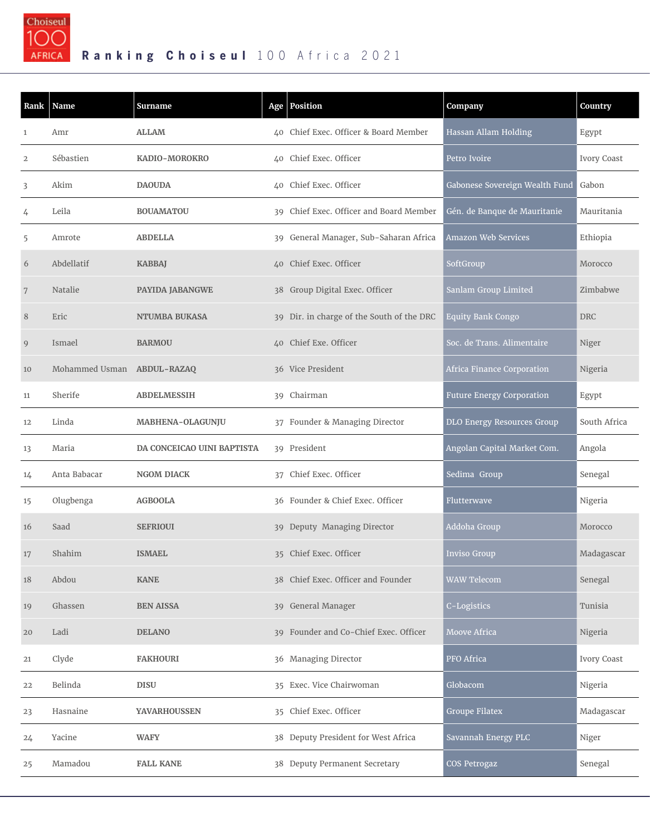

|                | Rank   Name                | Surname                    | Age   Position                            | Company                          | Country      |
|----------------|----------------------------|----------------------------|-------------------------------------------|----------------------------------|--------------|
| -1             | Amr                        | <b>ALLAM</b>               | 40 Chief Exec. Officer & Board Member     | Hassan Allam Holding             | Egypt        |
| $\overline{2}$ | Sébastien                  | KADIO-MOROKRO              | 40 Chief Exec. Officer                    | Petro Ivoire                     | Ivory Coast  |
| 3              | Akim                       | <b>DAOUDA</b>              | 40 Chief Exec. Officer                    | Gabonese Sovereign Wealth Fund   | Gabon        |
| 4              | Leila                      | <b>BOUAMATOU</b>           | 39 Chief Exec. Officer and Board Member   | Gén. de Banque de Mauritanie     | Mauritania   |
| 5              | Amrote                     | <b>ABDELLA</b>             | 39 General Manager, Sub-Saharan Africa    | Amazon Web Services              | Ethiopia     |
| 6              | Abdellatif                 | <b>KABBAJ</b>              | 40 Chief Exec. Officer                    | SoftGroup                        | Morocco      |
| 7              | Natalie                    | PAYIDA JABANGWE            | 38 Group Digital Exec. Officer            | Sanlam Group Limited             | Zimbabwe     |
| 8              | Eric                       | <b>NTUMBA BUKASA</b>       | 39 Dir. in charge of the South of the DRC | <b>Equity Bank Congo</b>         | <b>DRC</b>   |
| 9              | Ismael                     | <b>BARMOU</b>              | 40 Chief Exe. Officer                     | Soc. de Trans. Alimentaire       | Niger        |
| 10             | Mohammed Usman ABDUL-RAZAQ |                            | 36 Vice President                         | Africa Finance Corporation       | Nigeria      |
| 11             | Sherife                    | <b>ABDELMESSIH</b>         | 39 Chairman                               | <b>Future Energy Corporation</b> | Egypt        |
| 12             | Linda                      | <b>MABHENA-OLAGUNJU</b>    | 37 Founder & Managing Director            | DLO Energy Resources Group       | South Africa |
| 13             | Maria                      | DA CONCEICAO UINI BAPTISTA | 39 President                              | Angolan Capital Market Com.      | Angola       |
| 14             | Anta Babacar               | <b>NGOM DIACK</b>          | 37 Chief Exec. Officer                    | Sedima Group                     | Senegal      |
| 15             | Olugbenga                  | <b>AGBOOLA</b>             | 36 Founder & Chief Exec. Officer          | Flutterwave                      | Nigeria      |
| 16             | Saad                       | <b>SEFRIOUI</b>            | 39 Deputy Managing Director               | Addoha Group                     | Morocco      |
| 17             | Shahim                     | <b>ISMAEL</b>              | 35 Chief Exec. Officer                    | Inviso Group                     | Madagascar   |
| 18             | Abdou                      | <b>KANE</b>                | 38   Chief Exec. Officer and Founder      | WAW Telecom                      | Senegal      |
| 19             | Ghassen                    | <b>BEN AISSA</b>           | 39 General Manager                        | C-Logistics                      | Tunisia      |
| 20             | Ladi                       | <b>DELANO</b>              | 39 Founder and Co-Chief Exec. Officer     | Moove Africa                     | Nigeria      |
| 21             | Clyde                      | <b>FAKHOURI</b>            | 36 Managing Director                      | PFO Africa                       | Ivory Coast  |
| 22             | Belinda                    | <b>DISU</b>                | 35 Exec. Vice Chairwoman                  | Globacom                         | Nigeria      |
| 23             | Hasnaine                   | <b>YAVARHOUSSEN</b>        | 35 Chief Exec. Officer                    | Groupe Filatex                   | Madagascar   |
| 24             | Yacine                     | <b>WAFY</b>                | 38 Deputy President for West Africa       | Savannah Energy PLC              | Niger        |
| 25             | Mamadou                    | <b>FALL KANE</b>           | 38 Deputy Permanent Secretary             | COS Petrogaz                     | Senegal      |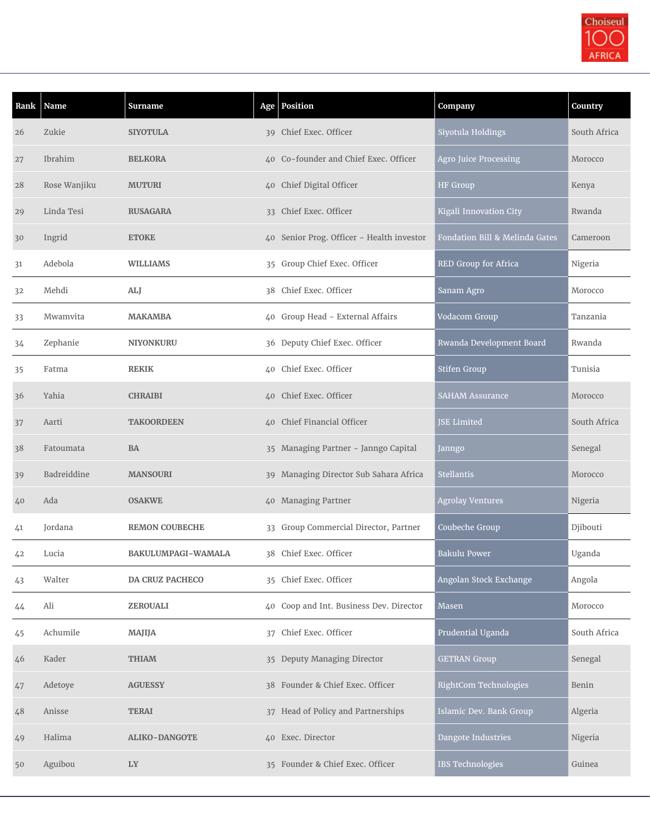

| Rank | Name         | Surname                |                 | Age   Position                            | Company                        | Country      |
|------|--------------|------------------------|-----------------|-------------------------------------------|--------------------------------|--------------|
| 26   | Zukie        | <b>SIYOTULA</b>        |                 | 39 Chief Exec. Officer                    | Siyotula Holdings              | South Africa |
| 27   | Ibrahim      | <b>BELKORA</b>         |                 | 40 Co-founder and Chief Exec. Officer     | Agro Juice Processing          | Morocco      |
| 28   | Rose Wanjiku | <b>MUTURI</b>          |                 | 40 Chief Digital Officer                  | <b>HF Group</b>                | Kenya        |
| 29   | Linda Tesi   | <b>RUSAGARA</b>        |                 | 33 Chief Exec. Officer                    | Kigali Innovation City         | Rwanda       |
| 30   | Ingrid       | <b>ETOKE</b>           |                 | 40 Senior Prog. Officer - Health investor | Fondation Bill & Melinda Gates | Cameroon     |
| 31   | Adebola      | <b>WILLIAMS</b>        |                 | 35 Group Chief Exec. Officer              | RED Group for Africa           | Nigeria      |
| 32   | Mehdi        | ALJ                    |                 | 38 Chief Exec. Officer                    | Sanam Agro                     | Morocco      |
| 33   | Mwamvita     | <b>MAKAMBA</b>         |                 | 40 Group Head - External Affairs          | Vodacom Group                  | Tanzania     |
| 34   | Zephanie     | <b>NIYONKURU</b>       |                 | 36 Deputy Chief Exec. Officer             | Rwanda Development Board       | Rwanda       |
| 35   | Fatma        | <b>REKIK</b>           | 40              | Chief Exec. Officer                       | <b>Stifen Group</b>            | Tunisia      |
| 36   | Yahia        | <b>CHRAIBI</b>         | 40 <sup>°</sup> | Chief Exec. Officer                       | <b>SAHAM Assurance</b>         | Morocco      |
| 37   | Aarti        | <b>TAKOORDEEN</b>      | 40              | Chief Financial Officer                   | <b>ISE Limited</b>             | South Africa |
| 38   | Fatoumata    | <b>BA</b>              |                 | 35 Managing Partner - Janngo Capital      | Janngo                         | Senegal      |
| 39   | Badreiddine  | <b>MANSOURI</b>        |                 | 39 Managing Director Sub Sahara Africa    | <b>Stellantis</b>              | Morocco      |
| 40   | Ada          | <b>OSAKWE</b>          |                 | 40 Managing Partner                       | <b>Agrolay Ventures</b>        | Nigeria      |
| 41   | Jordana      | <b>REMON COUBECHE</b>  |                 | 33 Group Commercial Director, Partner     | Coubeche Group                 | Djibouti     |
| 42   | Lucia        | BAKULUMPAGI-WAMALA     |                 | 38 Chief Exec. Officer                    | <b>Bakulu Power</b>            | Uganda       |
| 43   | Walter       | <b>DA CRUZ PACHECO</b> |                 | 35 Chief Exec. Officer                    | Angolan Stock Exchange         | Angola       |
| 44   | Ali          | <b>ZEROUALI</b>        |                 | 40 Coop and Int. Business Dev. Director   | Masen                          | Morocco      |
| 45   | Achumile     | MAJIJA                 |                 | 37 Chief Exec. Officer                    | Prudential Uganda              | South Africa |
| 46   | Kader        | <b>THIAM</b>           |                 | 35 Deputy Managing Director               | <b>GETRAN Group</b>            | Senegal      |
| 47   | Adetoye      | <b>AGUESSY</b>         |                 | 38 Founder & Chief Exec. Officer          | RightCom Technologies          | Benin        |
| 48   | Anisse       | <b>TERAI</b>           |                 | 37 Head of Policy and Partnerships        | Islamic Dev. Bank Group        | Algeria      |
| 49   | Halima       | <b>ALIKO-DANGOTE</b>   |                 | 40 Exec. Director                         | Dangote Industries             | Nigeria      |
| 50   | Aguibou      | LY                     |                 | 35 Founder & Chief Exec. Officer          | <b>IBS Technologies</b>        | Guinea       |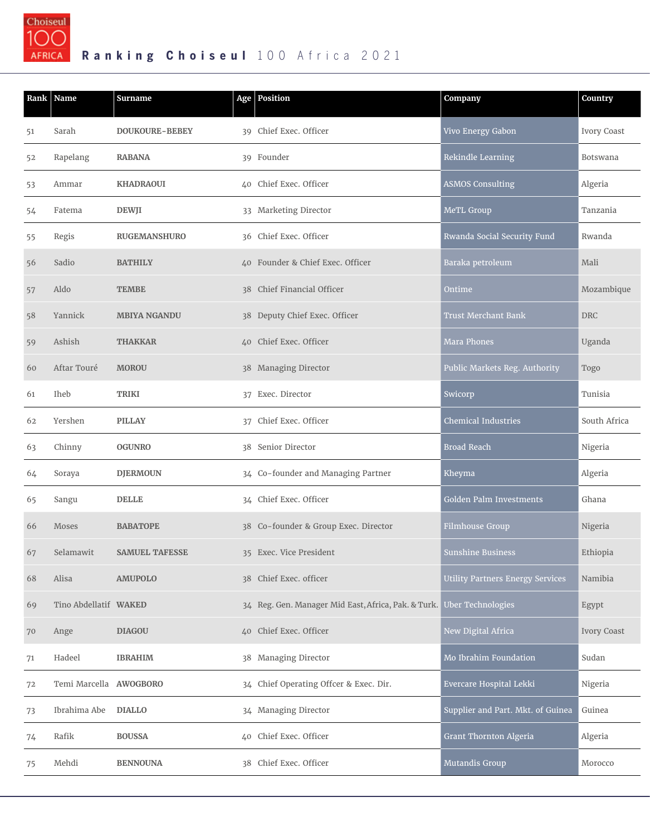

|    | Rank Name              | <b>Surname</b>        | Age   Position                                                        | Company                                 | Country      |
|----|------------------------|-----------------------|-----------------------------------------------------------------------|-----------------------------------------|--------------|
| 51 | Sarah                  | <b>DOUKOURE-BEBEY</b> | 39 Chief Exec. Officer                                                | Vivo Energy Gabon                       | Ivory Coast  |
| 52 | Rapelang               | <b>RABANA</b>         | 39 Founder                                                            | Rekindle Learning                       | Botswana     |
| 53 | Ammar                  | <b>KHADRAOUI</b>      | 40 Chief Exec. Officer                                                | <b>ASMOS Consulting</b>                 | Algeria      |
| 54 | Fatema                 | <b>DEWJI</b>          | 33 Marketing Director                                                 | MeTL Group                              | Tanzania     |
| 55 | Regis                  | <b>RUGEMANSHURO</b>   | 36 Chief Exec. Officer                                                | Rwanda Social Security Fund             | Rwanda       |
| 56 | Sadio                  | <b>BATHILY</b>        | 40 Founder & Chief Exec. Officer                                      | Baraka petroleum                        | Mali         |
| 57 | Aldo                   | <b>TEMBE</b>          | 38 Chief Financial Officer                                            | Ontime                                  | Mozambique   |
| 58 | Yannick                | <b>MBIYA NGANDU</b>   | 38 Deputy Chief Exec. Officer                                         | Trust Merchant Bank                     | <b>DRC</b>   |
| 59 | Ashish                 | <b>THAKKAR</b>        | 40 Chief Exec. Officer                                                | Mara Phones                             | Uganda       |
| 60 | Aftar Touré            | <b>MOROU</b>          | 38 Managing Director                                                  | Public Markets Reg. Authority           | Togo         |
| 61 | Iheb                   | <b>TRIKI</b>          | 37 Exec. Director                                                     | Swicorp                                 | Tunisia      |
| 62 | Yershen                | <b>PILLAY</b>         | 37 Chief Exec. Officer                                                | <b>Chemical Industries</b>              | South Africa |
| 63 | Chinny                 | <b>OGUNRO</b>         | 38 Senior Director                                                    | <b>Broad Reach</b>                      | Nigeria      |
| 64 | Soraya                 | <b>DJERMOUN</b>       | 34 Co-founder and Managing Partner                                    | Kheyma                                  | Algeria      |
| 65 | Sangu                  | <b>DELLE</b>          | 34 Chief Exec. Officer                                                | Golden Palm Investments                 | Ghana        |
| 66 | <b>Moses</b>           | <b>BABATOPE</b>       | 38 Co-founder & Group Exec. Director                                  | <b>Filmhouse Group</b>                  | Nigeria      |
| 67 | Selamawit              | <b>SAMUEL TAFESSE</b> | 35 Exec. Vice President                                               | <b>Sunshine Business</b>                | Ethiopia     |
| 68 | Alisa                  | <b>AMUPOLO</b>        | 38 Chief Exec. officer                                                | <b>Utility Partners Energy Services</b> | Namibia      |
| 69 | Tino Abdellatif WAKED  |                       | 34 Reg. Gen. Manager Mid East, Africa, Pak. & Turk. Uber Technologies |                                         | Egypt        |
| 70 | Ange                   | <b>DIAGOU</b>         | 40 Chief Exec. Officer                                                | New Digital Africa                      | Ivory Coast  |
| 71 | Hadeel                 | <b>IBRAHIM</b>        | 38 Managing Director                                                  | Mo Ibrahim Foundation                   | Sudan        |
| 72 | Temi Marcella AWOGBORO |                       | 34 Chief Operating Offcer & Exec. Dir.                                | Evercare Hospital Lekki                 | Nigeria      |
| 73 | Ibrahima Abe           | <b>DIALLO</b>         | 34 Managing Director                                                  | Supplier and Part. Mkt. of Guinea       | Guinea       |
| 74 | Rafik                  | <b>BOUSSA</b>         | 40 Chief Exec. Officer                                                | Grant Thornton Algeria                  | Algeria      |
| 75 | Mehdi                  | <b>BENNOUNA</b>       | 38 Chief Exec. Officer                                                | Mutandis Group                          | Morocco      |